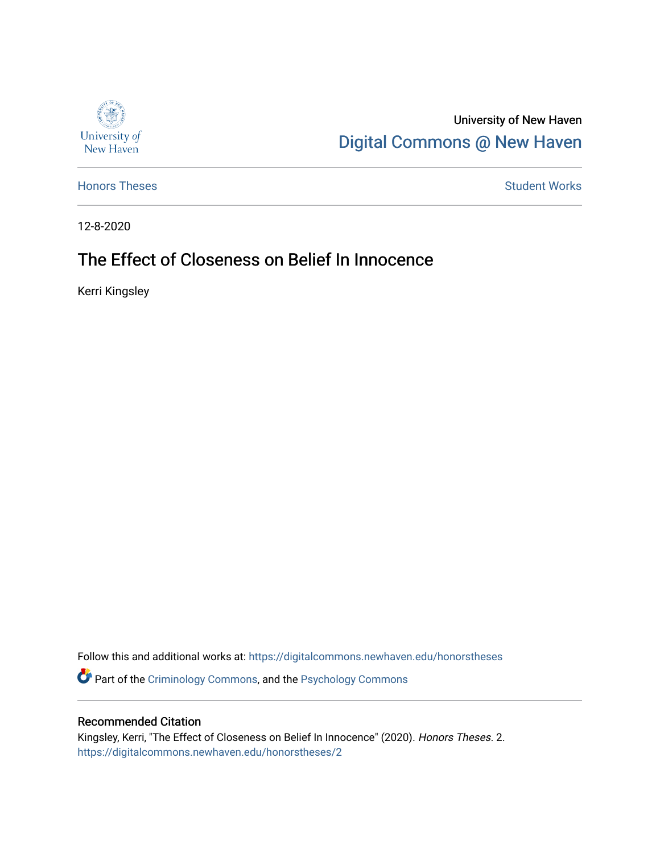

University of New Haven [Digital Commons @ New Haven](https://digitalcommons.newhaven.edu/) 

[Honors Theses](https://digitalcommons.newhaven.edu/honorstheses) **Student Works** [Student Works](https://digitalcommons.newhaven.edu/studentworks) **Student Works** 

12-8-2020

# The Effect of Closeness on Belief In Innocence

Kerri Kingsley

Follow this and additional works at: [https://digitalcommons.newhaven.edu/honorstheses](https://digitalcommons.newhaven.edu/honorstheses?utm_source=digitalcommons.newhaven.edu%2Fhonorstheses%2F2&utm_medium=PDF&utm_campaign=PDFCoverPages) 

**P** Part of the [Criminology Commons](http://network.bepress.com/hgg/discipline/417?utm_source=digitalcommons.newhaven.edu%2Fhonorstheses%2F2&utm_medium=PDF&utm_campaign=PDFCoverPages), and the Psychology Commons

### Recommended Citation

Kingsley, Kerri, "The Effect of Closeness on Belief In Innocence" (2020). Honors Theses. 2. [https://digitalcommons.newhaven.edu/honorstheses/2](https://digitalcommons.newhaven.edu/honorstheses/2?utm_source=digitalcommons.newhaven.edu%2Fhonorstheses%2F2&utm_medium=PDF&utm_campaign=PDFCoverPages)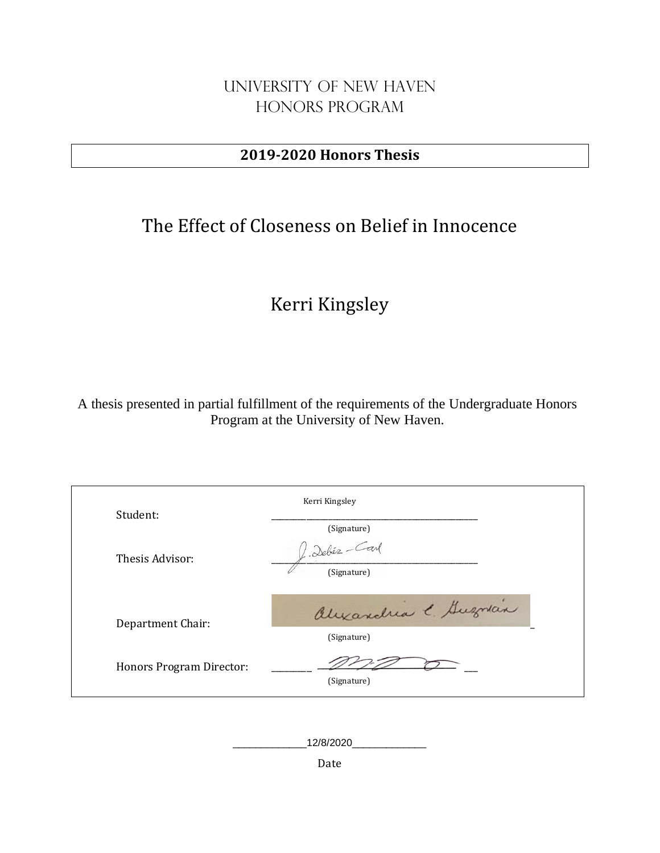## University of New Haven Honors Program

## **2019-2020 Honors Thesis**

# The Effect of Closeness on Belief in Innocence

# Kerri Kingsley

A thesis presented in partial fulfillment of the requirements of the Undergraduate Honors Program at the University of New Haven.

| Student:                 | Kerri Kingsley               |
|--------------------------|------------------------------|
|                          | (Signature)                  |
| Thesis Advisor:          | L. Debés-Carl<br>(Signature) |
| Department Chair:        | alexandria e Guerran         |
|                          | (Signature)                  |
| Honors Program Director: | (Signature)                  |

\_\_\_\_\_\_\_\_\_\_\_\_\_12/8/2020\_\_\_\_\_\_\_\_\_\_\_\_\_

Date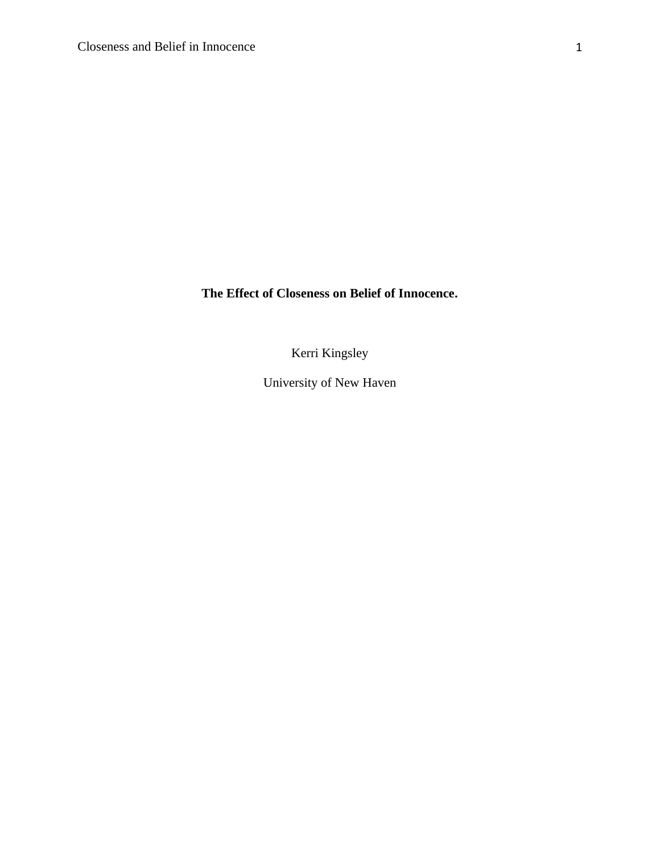**The Effect of Closeness on Belief of Innocence.**

Kerri Kingsley

University of New Haven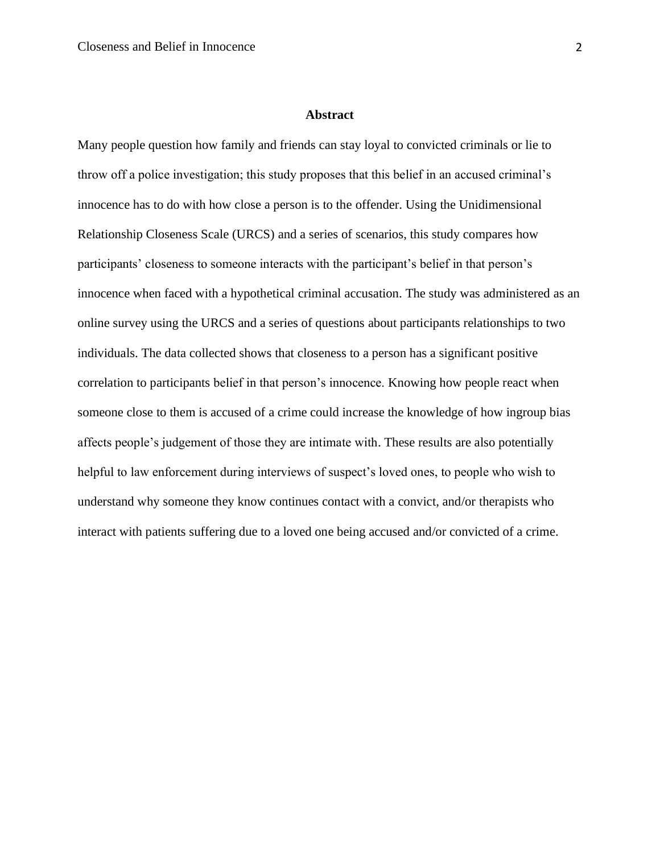#### **Abstract**

Many people question how family and friends can stay loyal to convicted criminals or lie to throw off a police investigation; this study proposes that this belief in an accused criminal's innocence has to do with how close a person is to the offender. Using the Unidimensional Relationship Closeness Scale (URCS) and a series of scenarios, this study compares how participants' closeness to someone interacts with the participant's belief in that person's innocence when faced with a hypothetical criminal accusation. The study was administered as an online survey using the URCS and a series of questions about participants relationships to two individuals. The data collected shows that closeness to a person has a significant positive correlation to participants belief in that person's innocence. Knowing how people react when someone close to them is accused of a crime could increase the knowledge of how ingroup bias affects people's judgement of those they are intimate with. These results are also potentially helpful to law enforcement during interviews of suspect's loved ones, to people who wish to understand why someone they know continues contact with a convict, and/or therapists who interact with patients suffering due to a loved one being accused and/or convicted of a crime.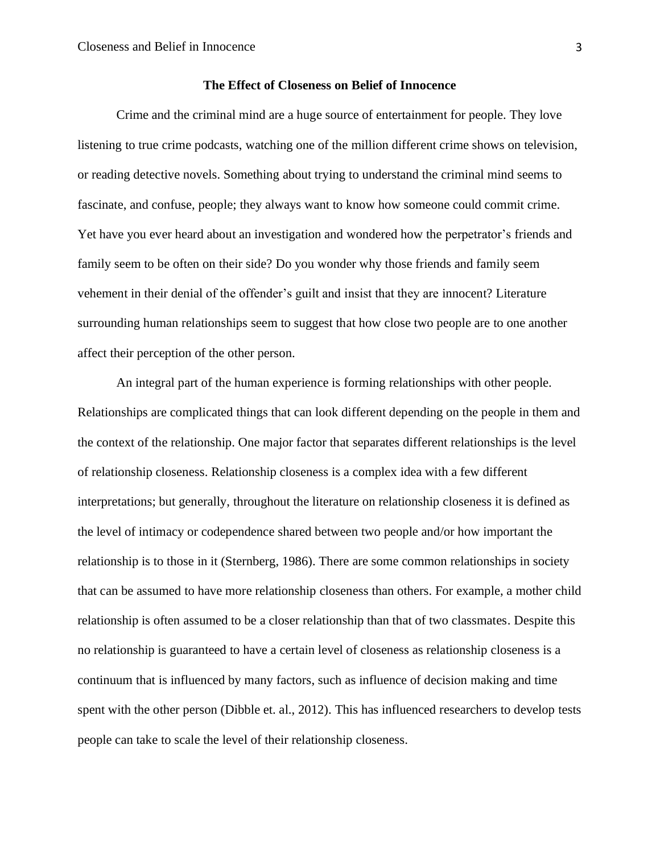#### **The Effect of Closeness on Belief of Innocence**

Crime and the criminal mind are a huge source of entertainment for people. They love listening to true crime podcasts, watching one of the million different crime shows on television, or reading detective novels. Something about trying to understand the criminal mind seems to fascinate, and confuse, people; they always want to know how someone could commit crime. Yet have you ever heard about an investigation and wondered how the perpetrator's friends and family seem to be often on their side? Do you wonder why those friends and family seem vehement in their denial of the offender's guilt and insist that they are innocent? Literature surrounding human relationships seem to suggest that how close two people are to one another affect their perception of the other person.

An integral part of the human experience is forming relationships with other people. Relationships are complicated things that can look different depending on the people in them and the context of the relationship. One major factor that separates different relationships is the level of relationship closeness. Relationship closeness is a complex idea with a few different interpretations; but generally, throughout the literature on relationship closeness it is defined as the level of intimacy or codependence shared between two people and/or how important the relationship is to those in it (Sternberg, 1986). There are some common relationships in society that can be assumed to have more relationship closeness than others. For example, a mother child relationship is often assumed to be a closer relationship than that of two classmates. Despite this no relationship is guaranteed to have a certain level of closeness as relationship closeness is a continuum that is influenced by many factors, such as influence of decision making and time spent with the other person (Dibble et. al., 2012). This has influenced researchers to develop tests people can take to scale the level of their relationship closeness.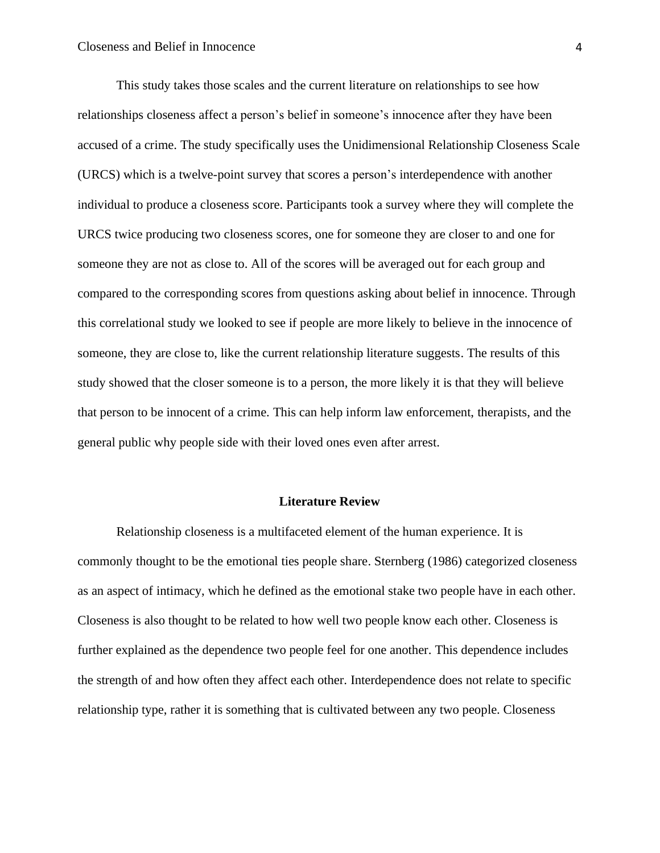This study takes those scales and the current literature on relationships to see how relationships closeness affect a person's belief in someone's innocence after they have been accused of a crime. The study specifically uses the Unidimensional Relationship Closeness Scale (URCS) which is a twelve-point survey that scores a person's interdependence with another individual to produce a closeness score. Participants took a survey where they will complete the URCS twice producing two closeness scores, one for someone they are closer to and one for someone they are not as close to. All of the scores will be averaged out for each group and compared to the corresponding scores from questions asking about belief in innocence. Through this correlational study we looked to see if people are more likely to believe in the innocence of someone, they are close to, like the current relationship literature suggests. The results of this study showed that the closer someone is to a person, the more likely it is that they will believe that person to be innocent of a crime. This can help inform law enforcement, therapists, and the general public why people side with their loved ones even after arrest.

#### **Literature Review**

Relationship closeness is a multifaceted element of the human experience. It is commonly thought to be the emotional ties people share. Sternberg (1986) categorized closeness as an aspect of intimacy, which he defined as the emotional stake two people have in each other. Closeness is also thought to be related to how well two people know each other. Closeness is further explained as the dependence two people feel for one another. This dependence includes the strength of and how often they affect each other. Interdependence does not relate to specific relationship type, rather it is something that is cultivated between any two people. Closeness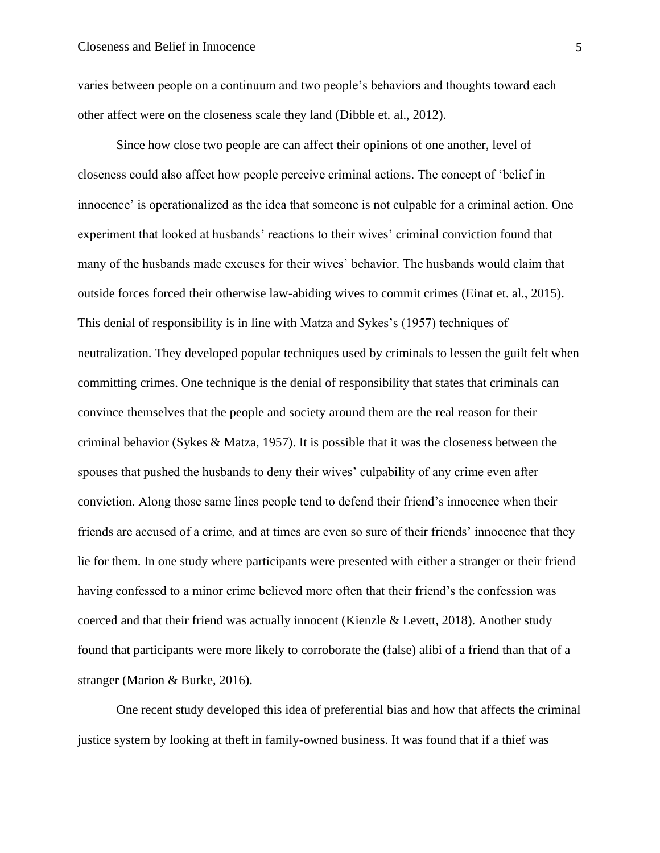varies between people on a continuum and two people's behaviors and thoughts toward each other affect were on the closeness scale they land (Dibble et. al., 2012).

Since how close two people are can affect their opinions of one another, level of closeness could also affect how people perceive criminal actions. The concept of 'belief in innocence' is operationalized as the idea that someone is not culpable for a criminal action. One experiment that looked at husbands' reactions to their wives' criminal conviction found that many of the husbands made excuses for their wives' behavior. The husbands would claim that outside forces forced their otherwise law-abiding wives to commit crimes (Einat et. al., 2015). This denial of responsibility is in line with Matza and Sykes's (1957) techniques of neutralization. They developed popular techniques used by criminals to lessen the guilt felt when committing crimes. One technique is the denial of responsibility that states that criminals can convince themselves that the people and society around them are the real reason for their criminal behavior (Sykes & Matza, 1957). It is possible that it was the closeness between the spouses that pushed the husbands to deny their wives' culpability of any crime even after conviction. Along those same lines people tend to defend their friend's innocence when their friends are accused of a crime, and at times are even so sure of their friends' innocence that they lie for them. In one study where participants were presented with either a stranger or their friend having confessed to a minor crime believed more often that their friend's the confession was coerced and that their friend was actually innocent (Kienzle & Levett, 2018). Another study found that participants were more likely to corroborate the (false) alibi of a friend than that of a stranger (Marion & Burke, 2016).

One recent study developed this idea of preferential bias and how that affects the criminal justice system by looking at theft in family-owned business. It was found that if a thief was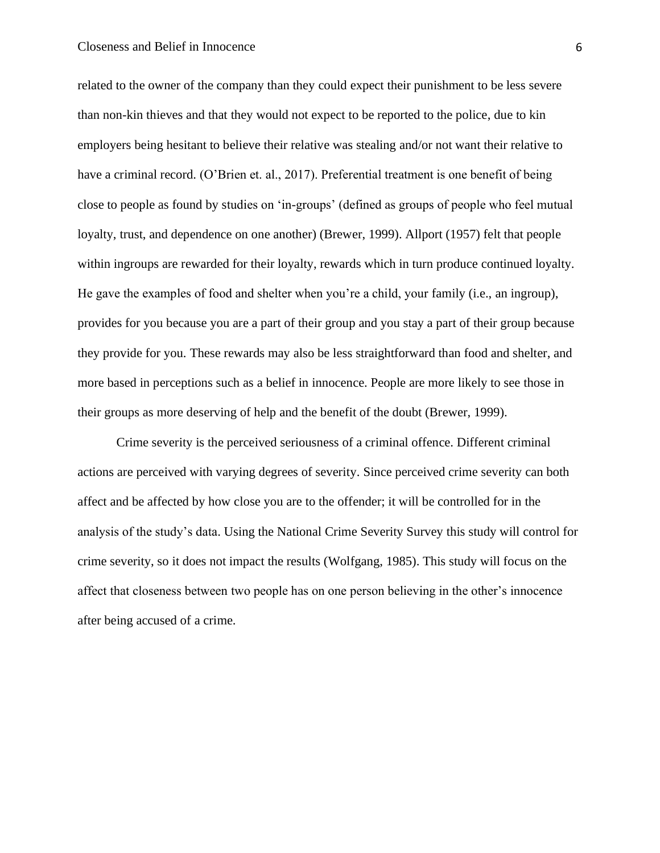#### Closeness and Belief in Innocence 6

related to the owner of the company than they could expect their punishment to be less severe than non-kin thieves and that they would not expect to be reported to the police, due to kin employers being hesitant to believe their relative was stealing and/or not want their relative to have a criminal record. (O'Brien et. al., 2017). Preferential treatment is one benefit of being close to people as found by studies on 'in-groups' (defined as groups of people who feel mutual loyalty, trust, and dependence on one another) (Brewer, 1999). Allport (1957) felt that people within ingroups are rewarded for their loyalty, rewards which in turn produce continued loyalty. He gave the examples of food and shelter when you're a child, your family (i.e., an ingroup), provides for you because you are a part of their group and you stay a part of their group because they provide for you. These rewards may also be less straightforward than food and shelter, and more based in perceptions such as a belief in innocence. People are more likely to see those in their groups as more deserving of help and the benefit of the doubt (Brewer, 1999).

Crime severity is the perceived seriousness of a criminal offence. Different criminal actions are perceived with varying degrees of severity. Since perceived crime severity can both affect and be affected by how close you are to the offender; it will be controlled for in the analysis of the study's data. Using the National Crime Severity Survey this study will control for crime severity, so it does not impact the results (Wolfgang, 1985). This study will focus on the affect that closeness between two people has on one person believing in the other's innocence after being accused of a crime.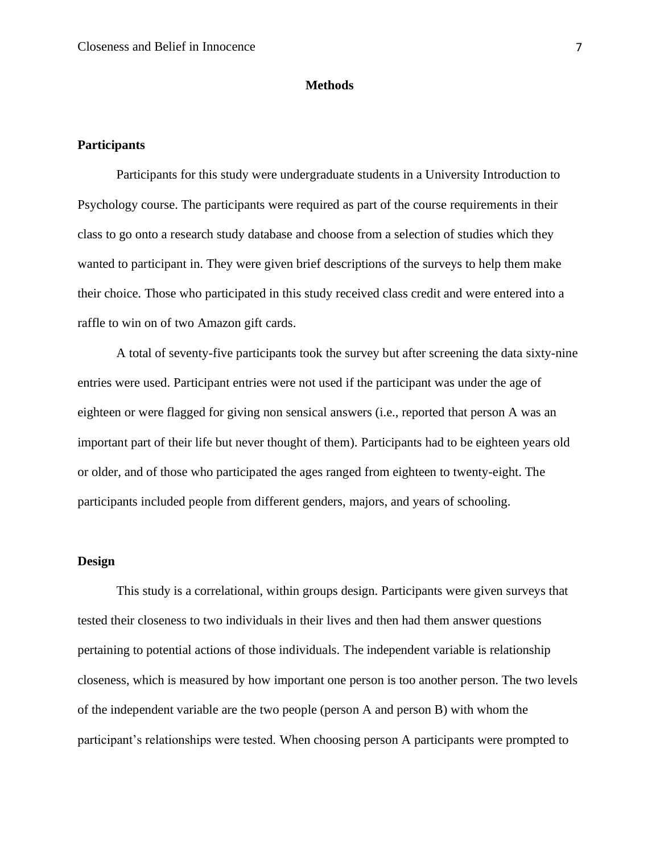#### **Methods**

#### **Participants**

Participants for this study were undergraduate students in a University Introduction to Psychology course. The participants were required as part of the course requirements in their class to go onto a research study database and choose from a selection of studies which they wanted to participant in. They were given brief descriptions of the surveys to help them make their choice. Those who participated in this study received class credit and were entered into a raffle to win on of two Amazon gift cards.

A total of seventy-five participants took the survey but after screening the data sixty-nine entries were used. Participant entries were not used if the participant was under the age of eighteen or were flagged for giving non sensical answers (i.e., reported that person A was an important part of their life but never thought of them). Participants had to be eighteen years old or older, and of those who participated the ages ranged from eighteen to twenty-eight. The participants included people from different genders, majors, and years of schooling.

#### **Design**

This study is a correlational, within groups design. Participants were given surveys that tested their closeness to two individuals in their lives and then had them answer questions pertaining to potential actions of those individuals. The independent variable is relationship closeness, which is measured by how important one person is too another person. The two levels of the independent variable are the two people (person A and person B) with whom the participant's relationships were tested. When choosing person A participants were prompted to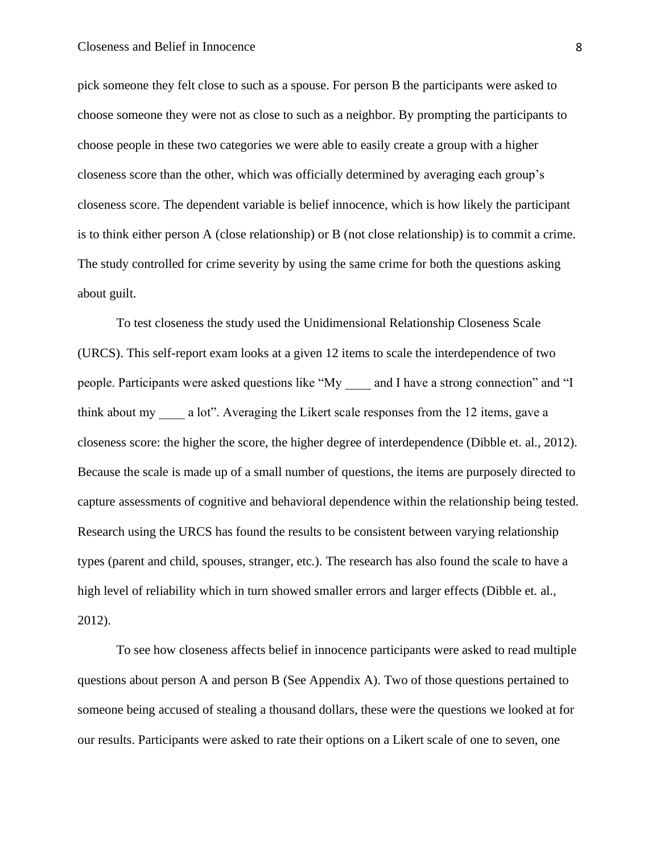pick someone they felt close to such as a spouse. For person B the participants were asked to choose someone they were not as close to such as a neighbor. By prompting the participants to choose people in these two categories we were able to easily create a group with a higher closeness score than the other, which was officially determined by averaging each group's closeness score. The dependent variable is belief innocence, which is how likely the participant is to think either person A (close relationship) or B (not close relationship) is to commit a crime. The study controlled for crime severity by using the same crime for both the questions asking about guilt.

To test closeness the study used the Unidimensional Relationship Closeness Scale (URCS). This self-report exam looks at a given 12 items to scale the interdependence of two people. Participants were asked questions like "My \_\_\_\_ and I have a strong connection" and "I think about my a lot". Averaging the Likert scale responses from the 12 items, gave a closeness score: the higher the score, the higher degree of interdependence (Dibble et. al., 2012). Because the scale is made up of a small number of questions, the items are purposely directed to capture assessments of cognitive and behavioral dependence within the relationship being tested. Research using the URCS has found the results to be consistent between varying relationship types (parent and child, spouses, stranger, etc.). The research has also found the scale to have a high level of reliability which in turn showed smaller errors and larger effects (Dibble et. al., 2012).

To see how closeness affects belief in innocence participants were asked to read multiple questions about person A and person B (See Appendix A). Two of those questions pertained to someone being accused of stealing a thousand dollars, these were the questions we looked at for our results. Participants were asked to rate their options on a Likert scale of one to seven, one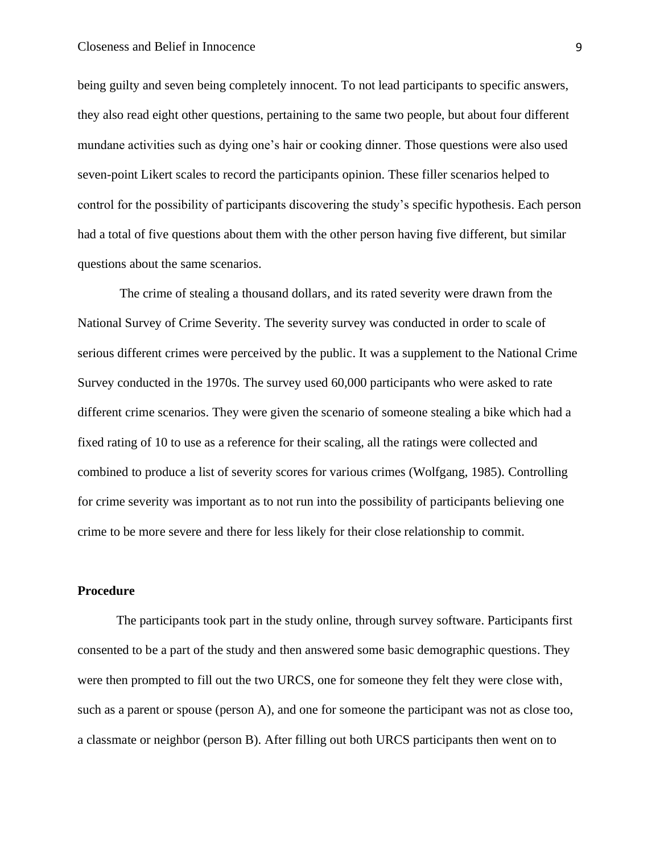being guilty and seven being completely innocent. To not lead participants to specific answers, they also read eight other questions, pertaining to the same two people, but about four different mundane activities such as dying one's hair or cooking dinner. Those questions were also used seven-point Likert scales to record the participants opinion. These filler scenarios helped to control for the possibility of participants discovering the study's specific hypothesis. Each person had a total of five questions about them with the other person having five different, but similar questions about the same scenarios.

The crime of stealing a thousand dollars, and its rated severity were drawn from the National Survey of Crime Severity. The severity survey was conducted in order to scale of serious different crimes were perceived by the public. It was a supplement to the National Crime Survey conducted in the 1970s. The survey used 60,000 participants who were asked to rate different crime scenarios. They were given the scenario of someone stealing a bike which had a fixed rating of 10 to use as a reference for their scaling, all the ratings were collected and combined to produce a list of severity scores for various crimes (Wolfgang, 1985). Controlling for crime severity was important as to not run into the possibility of participants believing one crime to be more severe and there for less likely for their close relationship to commit.

#### **Procedure**

The participants took part in the study online, through survey software. Participants first consented to be a part of the study and then answered some basic demographic questions. They were then prompted to fill out the two URCS, one for someone they felt they were close with, such as a parent or spouse (person A), and one for someone the participant was not as close too, a classmate or neighbor (person B). After filling out both URCS participants then went on to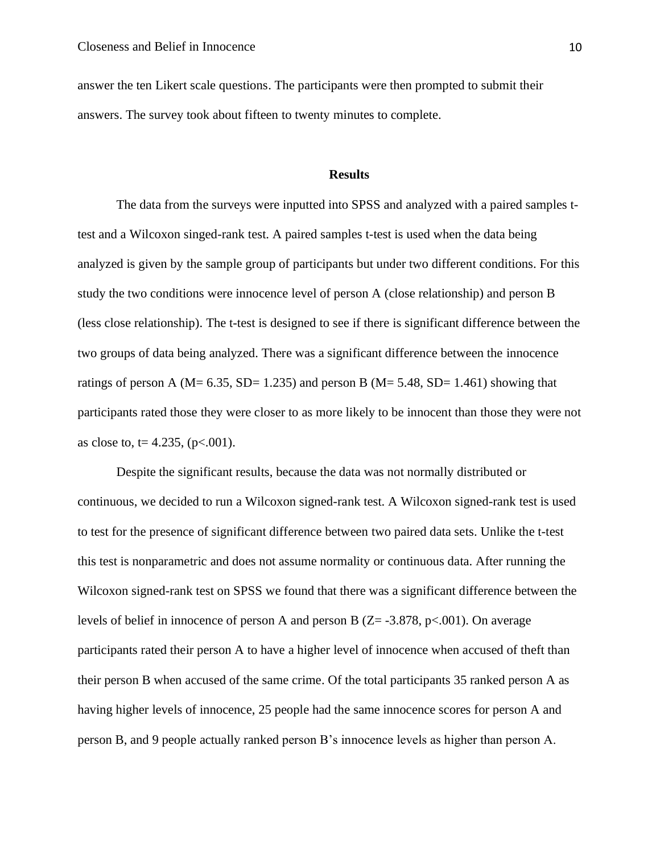answer the ten Likert scale questions. The participants were then prompted to submit their answers. The survey took about fifteen to twenty minutes to complete.

#### **Results**

The data from the surveys were inputted into SPSS and analyzed with a paired samples ttest and a Wilcoxon singed-rank test. A paired samples t-test is used when the data being analyzed is given by the sample group of participants but under two different conditions. For this study the two conditions were innocence level of person A (close relationship) and person B (less close relationship). The t-test is designed to see if there is significant difference between the two groups of data being analyzed. There was a significant difference between the innocence ratings of person A ( $M = 6.35$ ,  $SD = 1.235$ ) and person B ( $M = 5.48$ ,  $SD = 1.461$ ) showing that participants rated those they were closer to as more likely to be innocent than those they were not as close to, t= 4.235, ( $p<.001$ ).

Despite the significant results, because the data was not normally distributed or continuous, we decided to run a Wilcoxon signed-rank test. A Wilcoxon signed-rank test is used to test for the presence of significant difference between two paired data sets. Unlike the t-test this test is nonparametric and does not assume normality or continuous data. After running the Wilcoxon signed-rank test on SPSS we found that there was a significant difference between the levels of belief in innocence of person A and person B  $(Z = -3.878, p < .001)$ . On average participants rated their person A to have a higher level of innocence when accused of theft than their person B when accused of the same crime. Of the total participants 35 ranked person A as having higher levels of innocence, 25 people had the same innocence scores for person A and person B, and 9 people actually ranked person B's innocence levels as higher than person A.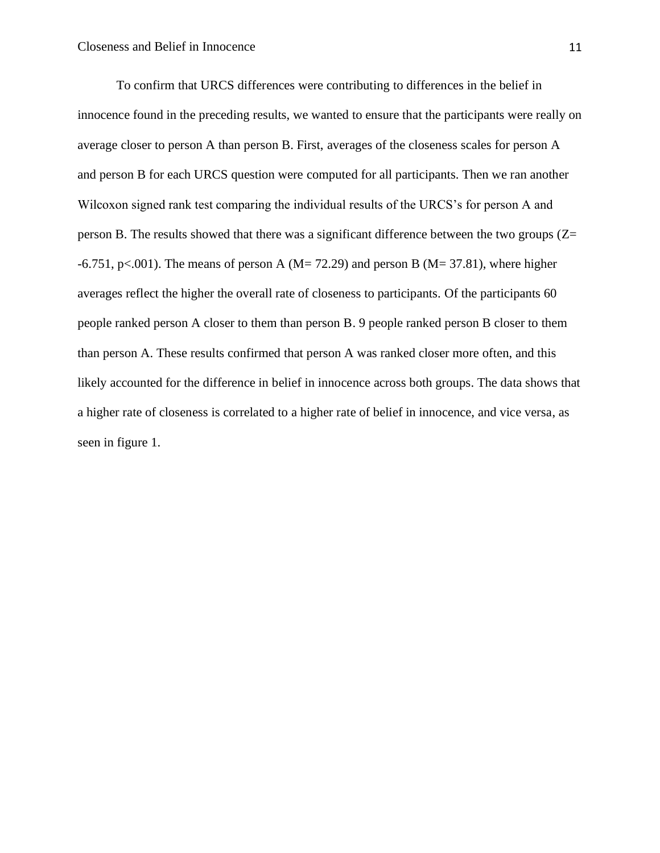To confirm that URCS differences were contributing to differences in the belief in innocence found in the preceding results, we wanted to ensure that the participants were really on average closer to person A than person B. First, averages of the closeness scales for person A and person B for each URCS question were computed for all participants. Then we ran another Wilcoxon signed rank test comparing the individual results of the URCS's for person A and person B. The results showed that there was a significant difference between the two groups  $(Z=$  $-6.751$ , p<.001). The means of person A (M= 72.29) and person B (M= 37.81), where higher averages reflect the higher the overall rate of closeness to participants. Of the participants 60 people ranked person A closer to them than person B. 9 people ranked person B closer to them than person A. These results confirmed that person A was ranked closer more often, and this likely accounted for the difference in belief in innocence across both groups. The data shows that a higher rate of closeness is correlated to a higher rate of belief in innocence, and vice versa, as seen in figure 1.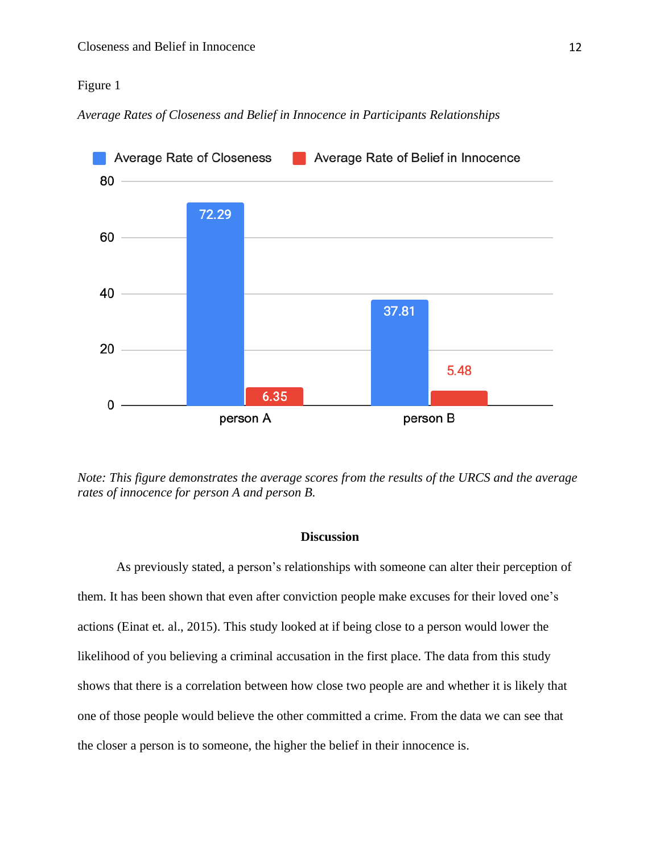#### Figure 1

*Average Rates of Closeness and Belief in Innocence in Participants Relationships* 



*Note: This figure demonstrates the average scores from the results of the URCS and the average rates of innocence for person A and person B.*

#### **Discussion**

As previously stated, a person's relationships with someone can alter their perception of them. It has been shown that even after conviction people make excuses for their loved one's actions (Einat et. al., 2015). This study looked at if being close to a person would lower the likelihood of you believing a criminal accusation in the first place. The data from this study shows that there is a correlation between how close two people are and whether it is likely that one of those people would believe the other committed a crime. From the data we can see that the closer a person is to someone, the higher the belief in their innocence is.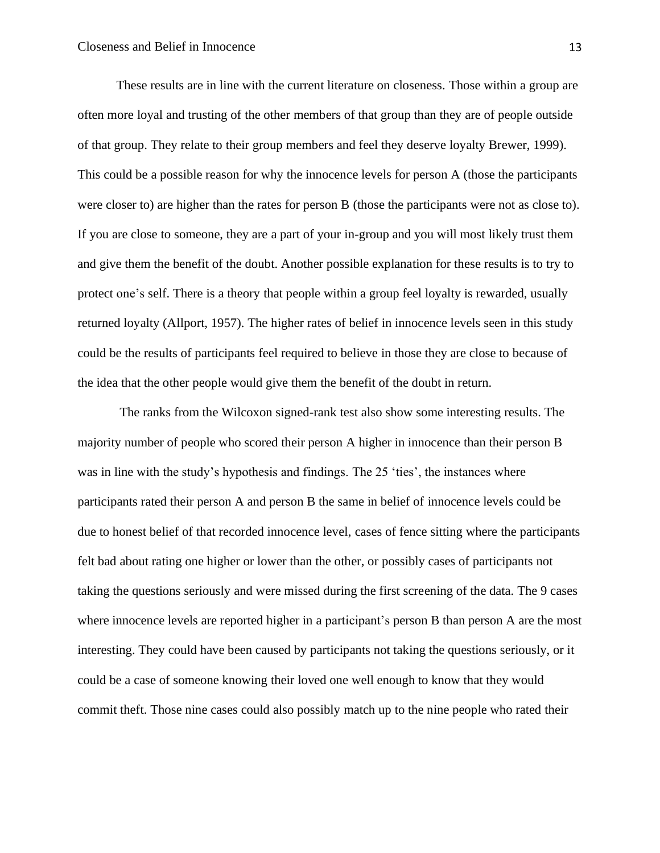These results are in line with the current literature on closeness. Those within a group are often more loyal and trusting of the other members of that group than they are of people outside of that group. They relate to their group members and feel they deserve loyalty Brewer, 1999). This could be a possible reason for why the innocence levels for person A (those the participants were closer to) are higher than the rates for person B (those the participants were not as close to). If you are close to someone, they are a part of your in-group and you will most likely trust them and give them the benefit of the doubt. Another possible explanation for these results is to try to protect one's self. There is a theory that people within a group feel loyalty is rewarded, usually returned loyalty (Allport, 1957). The higher rates of belief in innocence levels seen in this study could be the results of participants feel required to believe in those they are close to because of the idea that the other people would give them the benefit of the doubt in return.

The ranks from the Wilcoxon signed-rank test also show some interesting results. The majority number of people who scored their person A higher in innocence than their person B was in line with the study's hypothesis and findings. The 25 'ties', the instances where participants rated their person A and person B the same in belief of innocence levels could be due to honest belief of that recorded innocence level, cases of fence sitting where the participants felt bad about rating one higher or lower than the other, or possibly cases of participants not taking the questions seriously and were missed during the first screening of the data. The 9 cases where innocence levels are reported higher in a participant's person B than person A are the most interesting. They could have been caused by participants not taking the questions seriously, or it could be a case of someone knowing their loved one well enough to know that they would commit theft. Those nine cases could also possibly match up to the nine people who rated their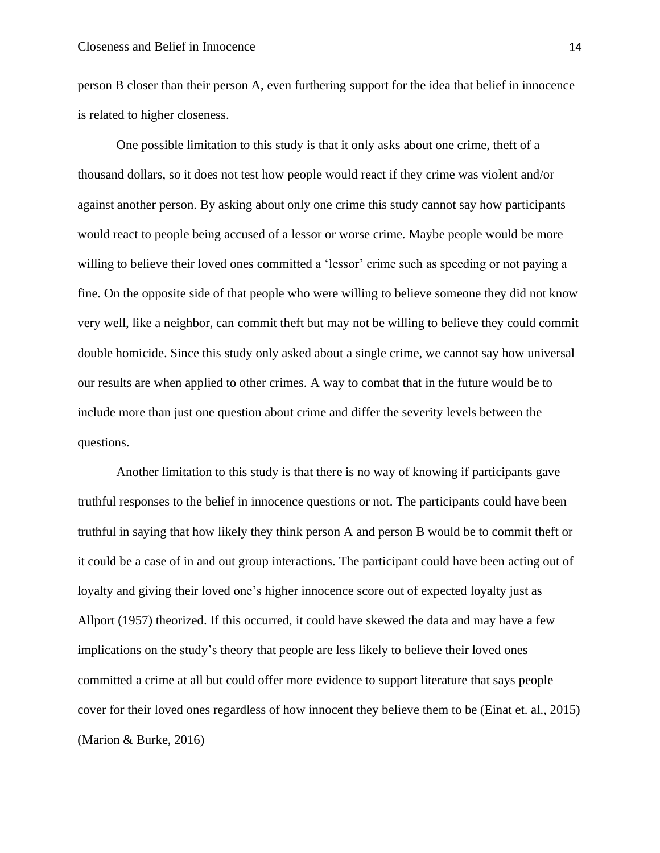person B closer than their person A, even furthering support for the idea that belief in innocence is related to higher closeness.

One possible limitation to this study is that it only asks about one crime, theft of a thousand dollars, so it does not test how people would react if they crime was violent and/or against another person. By asking about only one crime this study cannot say how participants would react to people being accused of a lessor or worse crime. Maybe people would be more willing to believe their loved ones committed a 'lessor' crime such as speeding or not paying a fine. On the opposite side of that people who were willing to believe someone they did not know very well, like a neighbor, can commit theft but may not be willing to believe they could commit double homicide. Since this study only asked about a single crime, we cannot say how universal our results are when applied to other crimes. A way to combat that in the future would be to include more than just one question about crime and differ the severity levels between the questions.

Another limitation to this study is that there is no way of knowing if participants gave truthful responses to the belief in innocence questions or not. The participants could have been truthful in saying that how likely they think person A and person B would be to commit theft or it could be a case of in and out group interactions. The participant could have been acting out of loyalty and giving their loved one's higher innocence score out of expected loyalty just as Allport (1957) theorized. If this occurred, it could have skewed the data and may have a few implications on the study's theory that people are less likely to believe their loved ones committed a crime at all but could offer more evidence to support literature that says people cover for their loved ones regardless of how innocent they believe them to be (Einat et. al., 2015) (Marion & Burke, 2016)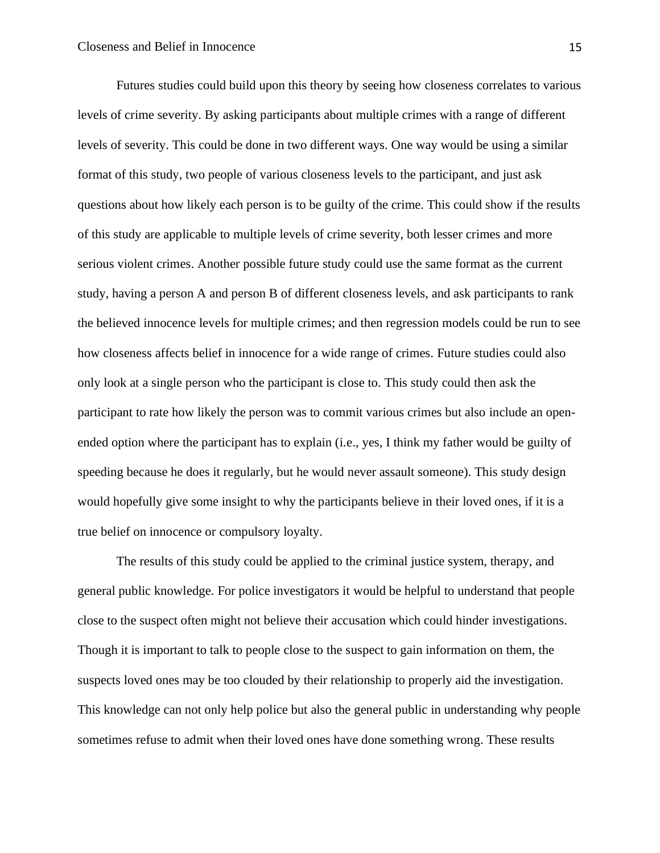Futures studies could build upon this theory by seeing how closeness correlates to various levels of crime severity. By asking participants about multiple crimes with a range of different levels of severity. This could be done in two different ways. One way would be using a similar format of this study, two people of various closeness levels to the participant, and just ask questions about how likely each person is to be guilty of the crime. This could show if the results of this study are applicable to multiple levels of crime severity, both lesser crimes and more serious violent crimes. Another possible future study could use the same format as the current study, having a person A and person B of different closeness levels, and ask participants to rank the believed innocence levels for multiple crimes; and then regression models could be run to see how closeness affects belief in innocence for a wide range of crimes. Future studies could also only look at a single person who the participant is close to. This study could then ask the participant to rate how likely the person was to commit various crimes but also include an openended option where the participant has to explain (i.e., yes, I think my father would be guilty of speeding because he does it regularly, but he would never assault someone). This study design would hopefully give some insight to why the participants believe in their loved ones, if it is a true belief on innocence or compulsory loyalty.

The results of this study could be applied to the criminal justice system, therapy, and general public knowledge. For police investigators it would be helpful to understand that people close to the suspect often might not believe their accusation which could hinder investigations. Though it is important to talk to people close to the suspect to gain information on them, the suspects loved ones may be too clouded by their relationship to properly aid the investigation. This knowledge can not only help police but also the general public in understanding why people sometimes refuse to admit when their loved ones have done something wrong. These results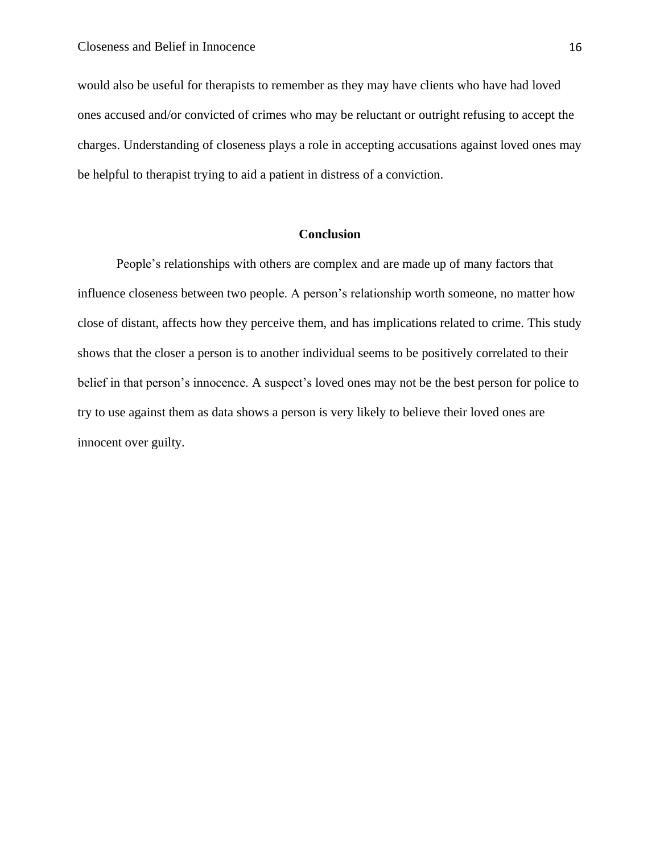would also be useful for therapists to remember as they may have clients who have had loved ones accused and/or convicted of crimes who may be reluctant or outright refusing to accept the charges. Understanding of closeness plays a role in accepting accusations against loved ones may be helpful to therapist trying to aid a patient in distress of a conviction.

#### **Conclusion**

People's relationships with others are complex and are made up of many factors that influence closeness between two people. A person's relationship worth someone, no matter how close of distant, affects how they perceive them, and has implications related to crime. This study shows that the closer a person is to another individual seems to be positively correlated to their belief in that person's innocence. A suspect's loved ones may not be the best person for police to try to use against them as data shows a person is very likely to believe their loved ones are innocent over guilty.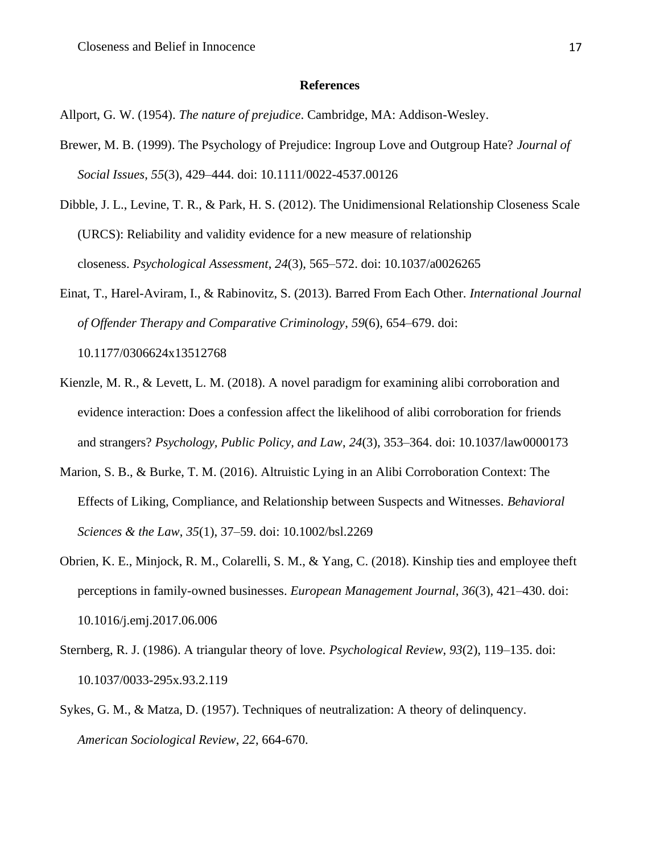#### **References**

Allport, G. W. (1954). *The nature of prejudice*. Cambridge, MA: Addison-Wesley.

- Brewer, M. B. (1999). The Psychology of Prejudice: Ingroup Love and Outgroup Hate? *Journal of Social Issues*, *55*(3), 429–444. doi: 10.1111/0022-4537.00126
- Dibble, J. L., Levine, T. R., & Park, H. S. (2012). The Unidimensional Relationship Closeness Scale (URCS): Reliability and validity evidence for a new measure of relationship closeness. *Psychological Assessment*, *24*(3), 565–572. doi: 10.1037/a0026265
- Einat, T., Harel-Aviram, I., & Rabinovitz, S. (2013). Barred From Each Other. *International Journal of Offender Therapy and Comparative Criminology*, *59*(6), 654–679. doi: 10.1177/0306624x13512768
- Kienzle, M. R., & Levett, L. M. (2018). A novel paradigm for examining alibi corroboration and evidence interaction: Does a confession affect the likelihood of alibi corroboration for friends and strangers? *Psychology, Public Policy, and Law*, *24*(3), 353–364. doi: 10.1037/law0000173
- Marion, S. B., & Burke, T. M. (2016). Altruistic Lying in an Alibi Corroboration Context: The Effects of Liking, Compliance, and Relationship between Suspects and Witnesses. *Behavioral Sciences & the Law*, *35*(1), 37–59. doi: 10.1002/bsl.2269
- Obrien, K. E., Minjock, R. M., Colarelli, S. M., & Yang, C. (2018). Kinship ties and employee theft perceptions in family-owned businesses. *European Management Journal*, *36*(3), 421–430. doi: 10.1016/j.emj.2017.06.006
- Sternberg, R. J. (1986). A triangular theory of love. *Psychological Review*, *93*(2), 119–135. doi: 10.1037/0033-295x.93.2.119
- Sykes, G. M., & Matza, D. (1957). Techniques of neutralization: A theory of delinquency. *American Sociological Review*, *22*, 664-670.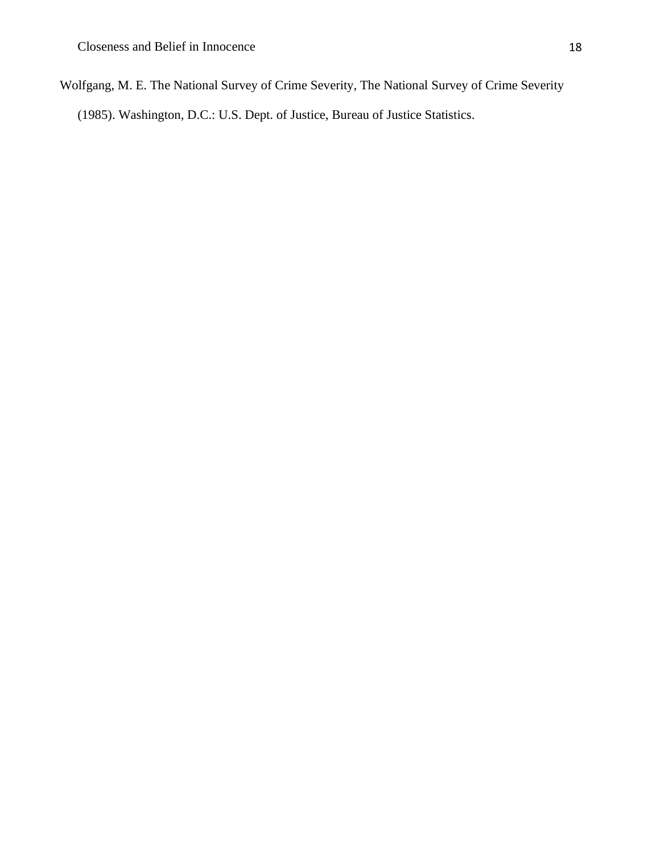Wolfgang, M. E. The National Survey of Crime Severity, The National Survey of Crime Severity

(1985). Washington, D.C.: U.S. Dept. of Justice, Bureau of Justice Statistics.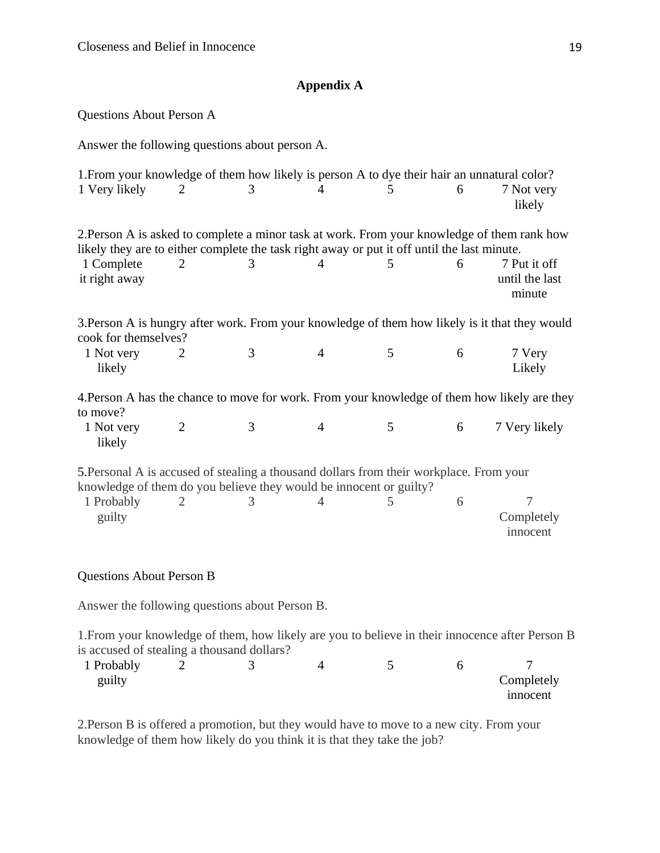## **Appendix A**

Questions About Person A

Answer the following questions about person A.

| 1. From your knowledge of them how likely is person A to dye their hair an unnatural color?<br>1 Very likely                                                                                                              | $\overline{2}$ | 3 | 4              | 5 | 6 | 7 Not very<br>likely                     |
|---------------------------------------------------------------------------------------------------------------------------------------------------------------------------------------------------------------------------|----------------|---|----------------|---|---|------------------------------------------|
| 2. Person A is asked to complete a minor task at work. From your knowledge of them rank how<br>likely they are to either complete the task right away or put it off until the last minute.<br>1 Complete<br>it right away | 2              | 3 | $\overline{4}$ | 5 | 6 | 7 Put it off<br>until the last<br>minute |
| 3. Person A is hungry after work. From your knowledge of them how likely is it that they would<br>cook for themselves?                                                                                                    |                |   |                |   |   |                                          |
| 1 Not very<br>likely                                                                                                                                                                                                      | 2              | 3 | $\overline{4}$ | 5 | 6 | 7 Very<br>Likely                         |
| 4. Person A has the chance to move for work. From your knowledge of them how likely are they<br>to move?                                                                                                                  |                |   |                |   |   |                                          |
| 1 Not very<br>likely                                                                                                                                                                                                      | $\overline{2}$ | 3 | $\overline{4}$ | 5 | 6 | 7 Very likely                            |
| 5. Personal A is accused of stealing a thousand dollars from their workplace. From your<br>knowledge of them do you believe they would be innocent or guilty?                                                             |                |   |                |   |   |                                          |
| 1 Probably<br>guilty                                                                                                                                                                                                      | $\overline{2}$ | 3 | $\overline{4}$ | 5 | 6 | 7<br>Completely<br>innocent              |
| <b>Questions About Person B</b>                                                                                                                                                                                           |                |   |                |   |   |                                          |

Answer the following questions about Person B.

1.From your knowledge of them, how likely are you to believe in their innocence after Person B is accused of stealing a thousand dollars?

| 1 Probably |  |  |                 |
|------------|--|--|-----------------|
| guilty     |  |  | Completely      |
|            |  |  | <i>n</i> nocent |

2.Person B is offered a promotion, but they would have to move to a new city. From your knowledge of them how likely do you think it is that they take the job?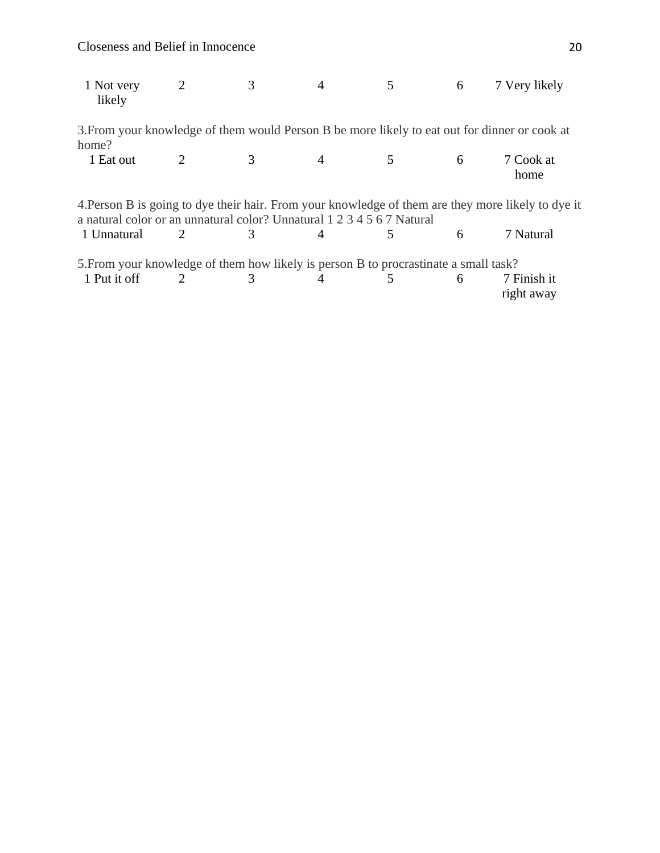Closeness and Belief in Innocence 20

| 1 Not very<br>likely                                                                                                                                                         | $\overline{2}$              | 3 |   |   | 6 | 7 Very likely                                                                                 |  |
|------------------------------------------------------------------------------------------------------------------------------------------------------------------------------|-----------------------------|---|---|---|---|-----------------------------------------------------------------------------------------------|--|
|                                                                                                                                                                              |                             |   |   |   |   | 3. From your knowledge of them would Person B be more likely to eat out for dinner or cook at |  |
| home?                                                                                                                                                                        |                             |   |   |   |   |                                                                                               |  |
| 1 Eat out                                                                                                                                                                    |                             |   | 4 | 5 | 6 | 7 Cook at<br>home                                                                             |  |
| 4. Person B is going to dye their hair. From your knowledge of them are they more likely to dye it<br>a natural color or an unnatural color? Unnatural 1 2 3 4 5 6 7 Natural |                             |   |   |   |   |                                                                                               |  |
| 1 Unnatural                                                                                                                                                                  | 2                           | 3 |   | 5 | 6 | 7 Natural                                                                                     |  |
| 5. From your knowledge of them how likely is person B to procrastinate a small task?                                                                                         |                             |   |   |   |   |                                                                                               |  |
| 1 Put it off                                                                                                                                                                 | $\mathcal{D}_{\mathcal{L}}$ | 3 |   | 5 | 6 | 7 Finish it<br>right away                                                                     |  |